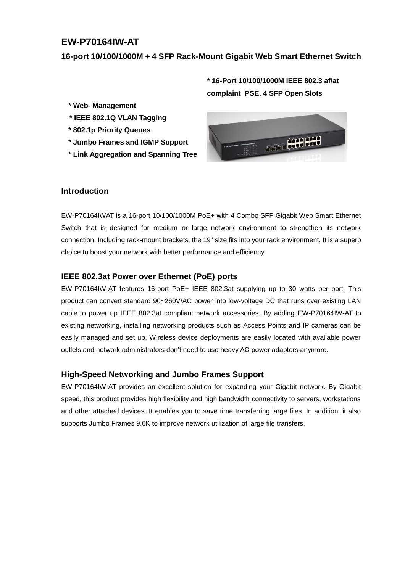# **EW-P70164IW-AT**

**16-port 10/100/1000M + 4 SFP Rack-Mount Gigabit Web Smart Ethernet Switch**

**\* 16-Port 10/100/1000M IEEE 802.3 af/at complaint PSE, 4 SFP Open Slots**

- **\* Web- Management**
- **\* IEEE 802.1Q VLAN Tagging**
- **\* 802.1p Priority Queues**
- **\* Jumbo Frames and IGMP Support**
- **\* Link Aggregation and Spanning Tree**



#### **Introduction**

EW-P70164IWAT is a 16-port 10/100/1000M PoE+ with 4 Combo SFP Gigabit Web Smart Ethernet Switch that is designed for medium or large network environment to strengthen its network connection. Including rack-mount brackets, the 19" size fits into your rack environment. It is a superb choice to boost your network with better performance and efficiency.

#### **IEEE 802.3at Power over Ethernet (PoE) ports**

EW-P70164IW-AT features 16-port PoE+ IEEE 802.3at supplying up to 30 watts per port. This product can convert standard 90~260V/AC power into low-voltage DC that runs over existing LAN cable to power up IEEE 802.3at compliant network accessories. By adding EW-P70164IW-AT to existing networking, installing networking products such as Access Points and IP cameras can be easily managed and set up. Wireless device deployments are easily located with available power outlets and network administrators don't need to use heavy AC power adapters anymore.

#### **High-Speed Networking and Jumbo Frames Support**

EW-P70164IW-AT provides an excellent solution for expanding your Gigabit network. By Gigabit speed, this product provides high flexibility and high bandwidth connectivity to servers, workstations and other attached devices. It enables you to save time transferring large files. In addition, it also supports Jumbo Frames 9.6K to improve network utilization of large file transfers.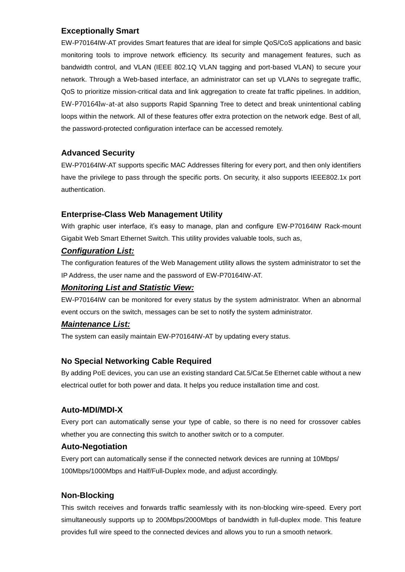### **Exceptionally Smart**

EW-P70164IW-AT provides Smart features that are ideal for simple QoS/CoS applications and basic monitoring tools to improve network efficiency. Its security and management features, such as bandwidth control, and VLAN (IEEE 802.1Q VLAN tagging and port-based VLAN) to secure your network. Through a Web-based interface, an administrator can set up VLANs to segregate traffic, QoS to prioritize mission-critical data and link aggregation to create fat traffic pipelines. In addition, EW-P70164Iw-at-at also supports Rapid Spanning Tree to detect and break unintentional cabling loops within the network. All of these features offer extra protection on the network edge. Best of all, the password-protected configuration interface can be accessed remotely.

## **Advanced Security**

EW-P70164IW-AT supports specific MAC Addresses filtering for every port, and then only identifiers have the privilege to pass through the specific ports. On security, it also supports IEEE802.1x port authentication.

### **Enterprise-Class Web Management Utility**

With graphic user interface, it's easy to manage, plan and configure EW-P70164IW Rack-mount Gigabit Web Smart Ethernet Switch. This utility provides valuable tools, such as,

## *Configuration List:*

The configuration features of the Web Management utility allows the system administrator to set the IP Address, the user name and the password of EW-P70164IW-AT.

### *Monitoring List and Statistic View:*

EW-P70164IW can be monitored for every status by the system administrator. When an abnormal event occurs on the switch, messages can be set to notify the system administrator.

### *Maintenance List:*

The system can easily maintain EW-P70164IW-AT by updating every status.

## **No Special Networking Cable Required**

By adding PoE devices, you can use an existing standard Cat.5/Cat.5e Ethernet cable without a new electrical outlet for both power and data. It helps you reduce installation time and cost.

## **Auto-MDI/MDI-X**

Every port can automatically sense your type of cable, so there is no need for crossover cables whether you are connecting this switch to another switch or to a computer.

### **Auto-Negotiation**

Every port can automatically sense if the connected network devices are running at 10Mbps/ 100Mbps/1000Mbps and Half/Full-Duplex mode, and adjust accordingly.

## **Non-Blocking**

This switch receives and forwards traffic seamlessly with its non-blocking wire-speed. Every port simultaneously supports up to 200Mbps/2000Mbps of bandwidth in full-duplex mode. This feature provides full wire speed to the connected devices and allows you to run a smooth network.